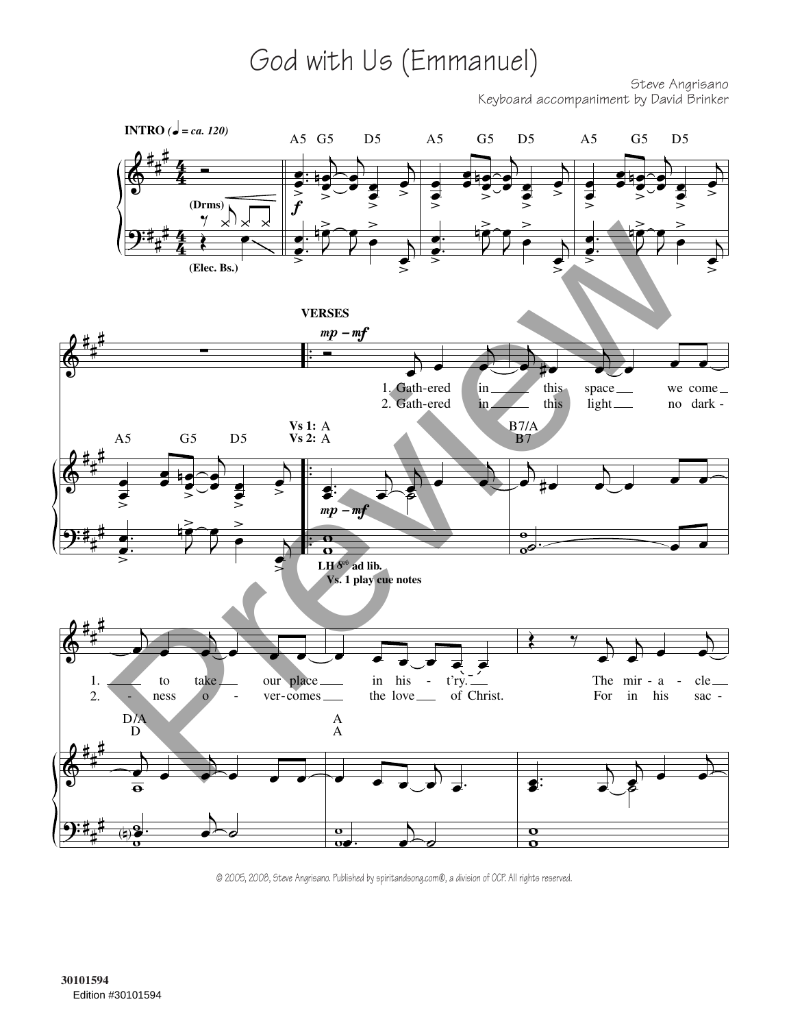## God with Us (Emmanuel)

Steve Angrisano Keyboard accompaniment by David Brinker



© 2005, 2008, Steve Angrisano. Published by spiritandsong.com®, a division of OCP. All rights reserved.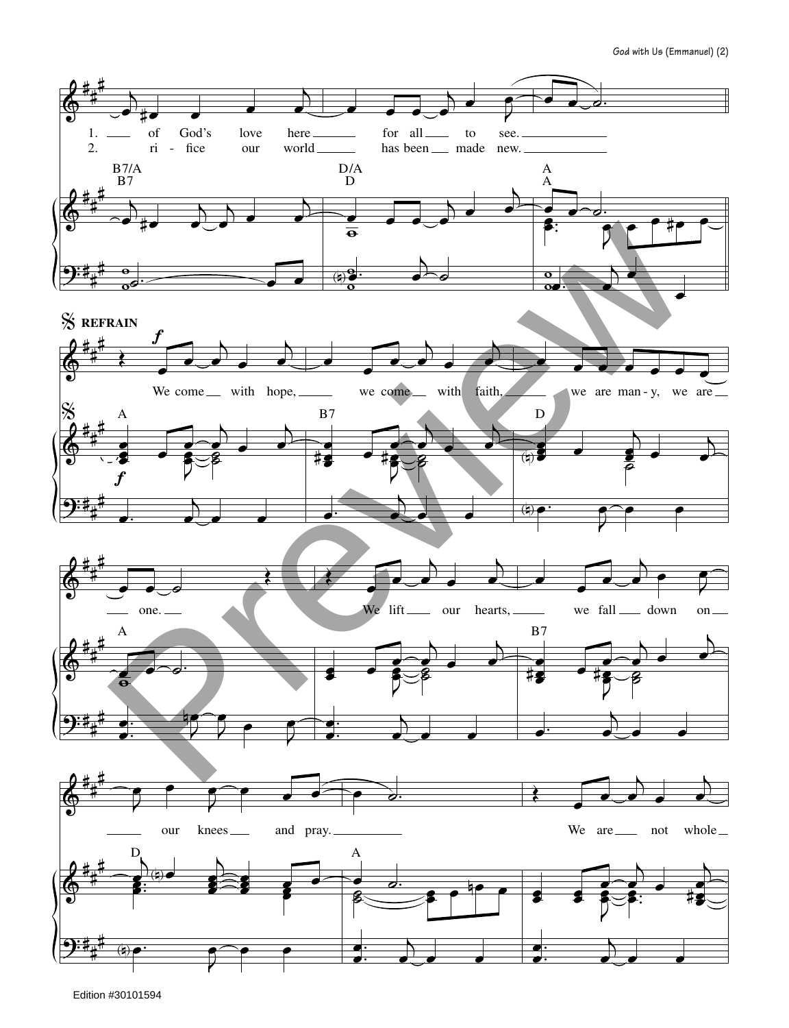

Edition #30101594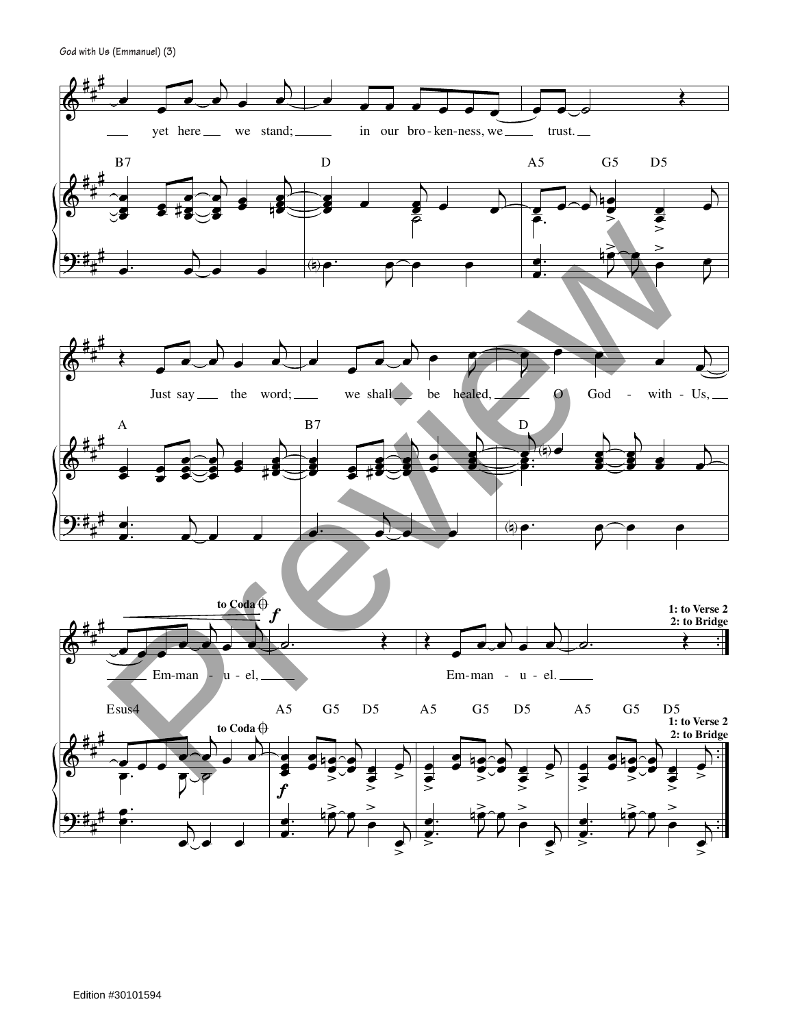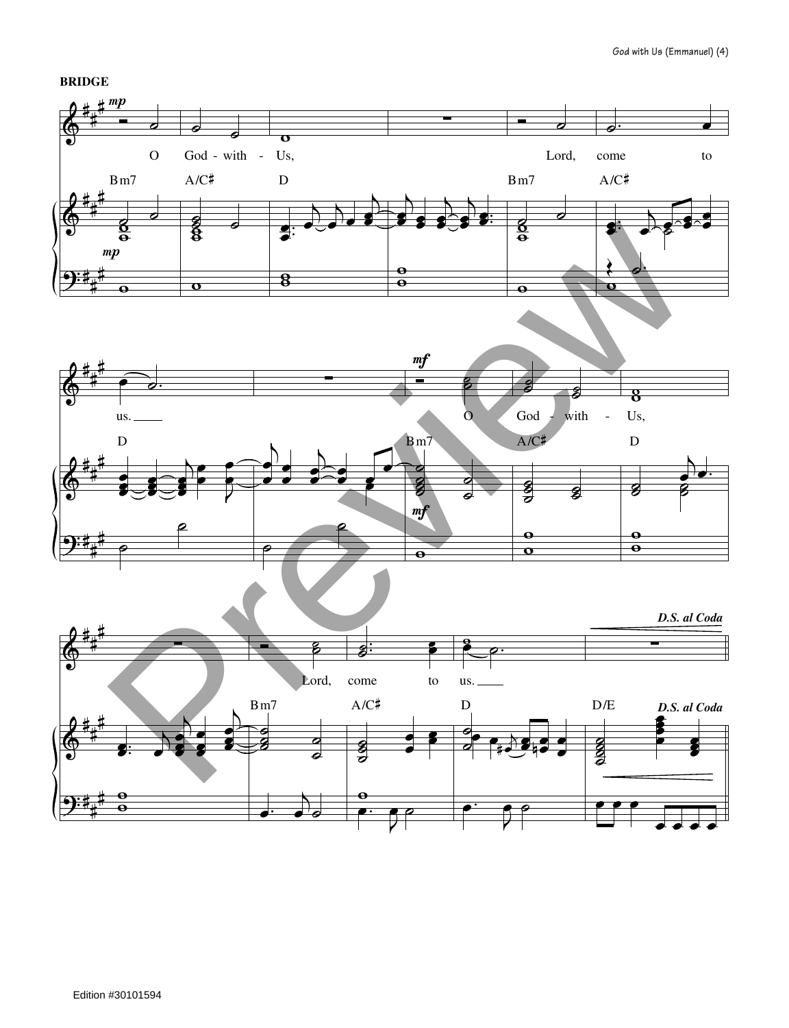## **BRIDGE**